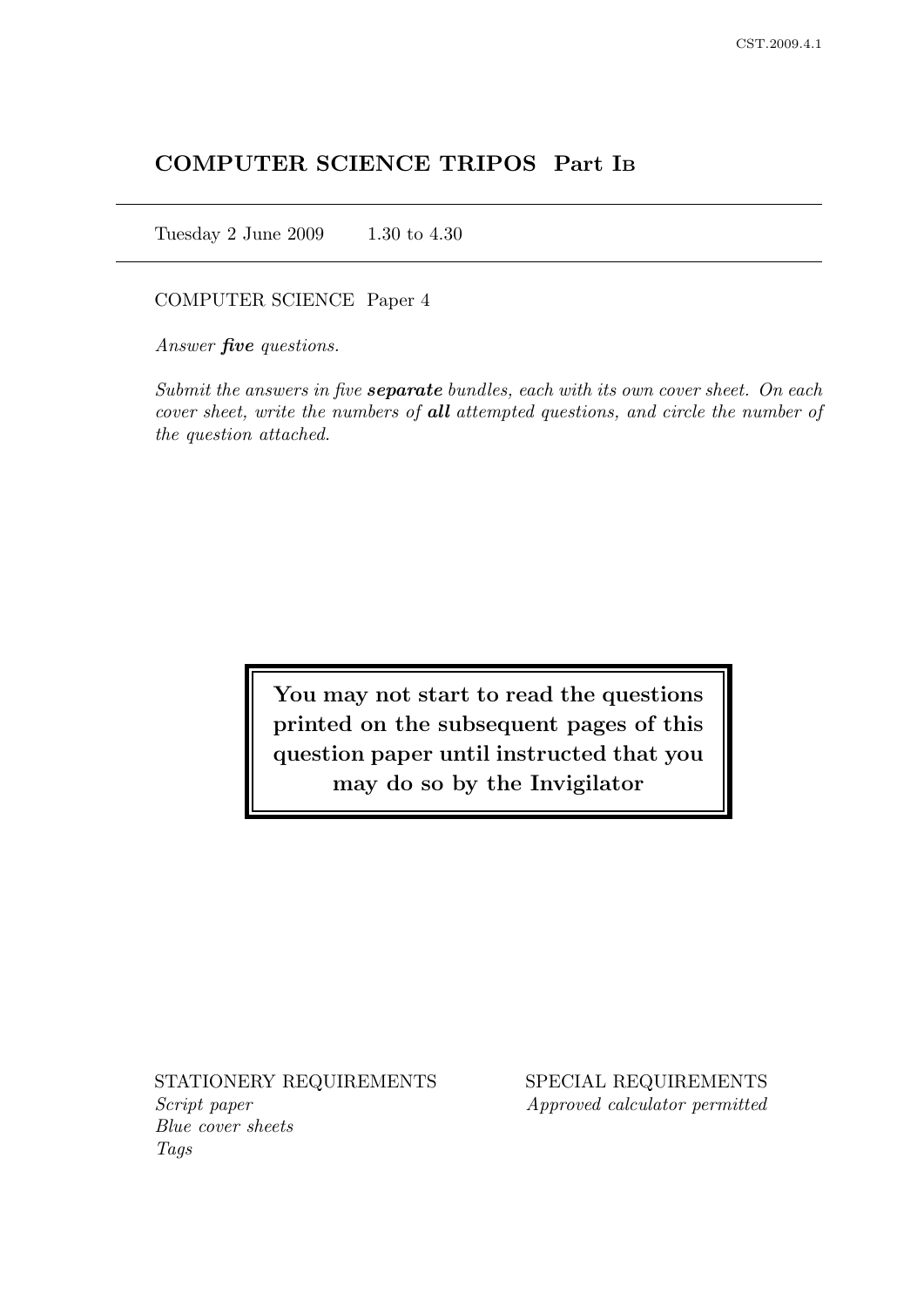# COMPUTER SCIENCE TRIPOS Part I<sup>B</sup>

Tuesday 2 June 2009 1.30 to 4.30

### COMPUTER SCIENCE Paper 4

Answer **five** questions.

Submit the answers in five **separate** bundles, each with its own cover sheet. On each cover sheet, write the numbers of all attempted questions, and circle the number of the question attached.

> You may not start to read the questions printed on the subsequent pages of this question paper until instructed that you may do so by the Invigilator

Script paper Approved calculator permitted Blue cover sheets Tags

STATIONERY REQUIREMENTS SPECIAL REQUIREMENTS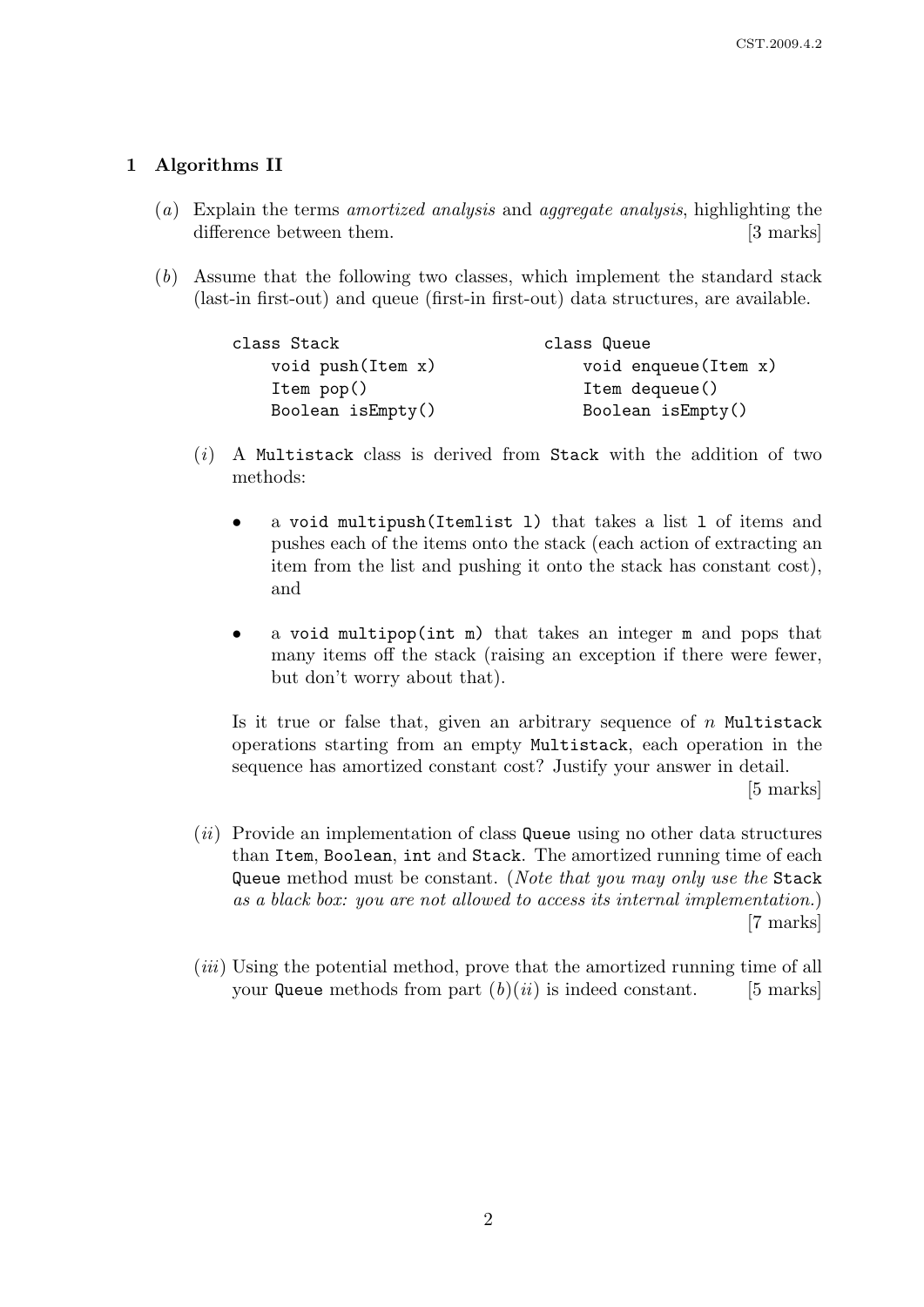## 1 Algorithms II

- (a) Explain the terms amortized analysis and aggregate analysis, highlighting the difference between them. [3 marks]
- (b) Assume that the following two classes, which implement the standard stack (last-in first-out) and queue (first-in first-out) data structures, are available.

| class Stack             | class Queue             |
|-------------------------|-------------------------|
| void push (Item x)      | void enqueue (Item x)   |
| Item pop()              | Item dequeue()          |
| Boolean $i$ s $Empty()$ | Boolean $i$ s $Empty()$ |

- $(i)$  A Multistack class is derived from Stack with the addition of two methods:
	- a void multipush(Itemlist l) that takes a list l of items and pushes each of the items onto the stack (each action of extracting an item from the list and pushing it onto the stack has constant cost), and
	- a void multipop(int m) that takes an integer m and pops that many items off the stack (raising an exception if there were fewer, but don't worry about that).

Is it true or false that, given an arbitrary sequence of  $n$  Multistack operations starting from an empty Multistack, each operation in the sequence has amortized constant cost? Justify your answer in detail.

[5 marks]

- $(ii)$  Provide an implementation of class Queue using no other data structures than Item, Boolean, int and Stack. The amortized running time of each Queue method must be constant. (*Note that you may only use the* Stack as a black box: you are not allowed to access its internal implementation.) [7 marks]
- (iii) Using the potential method, prove that the amortized running time of all your Queue methods from part  $(b)(ii)$  is indeed constant. [5 marks]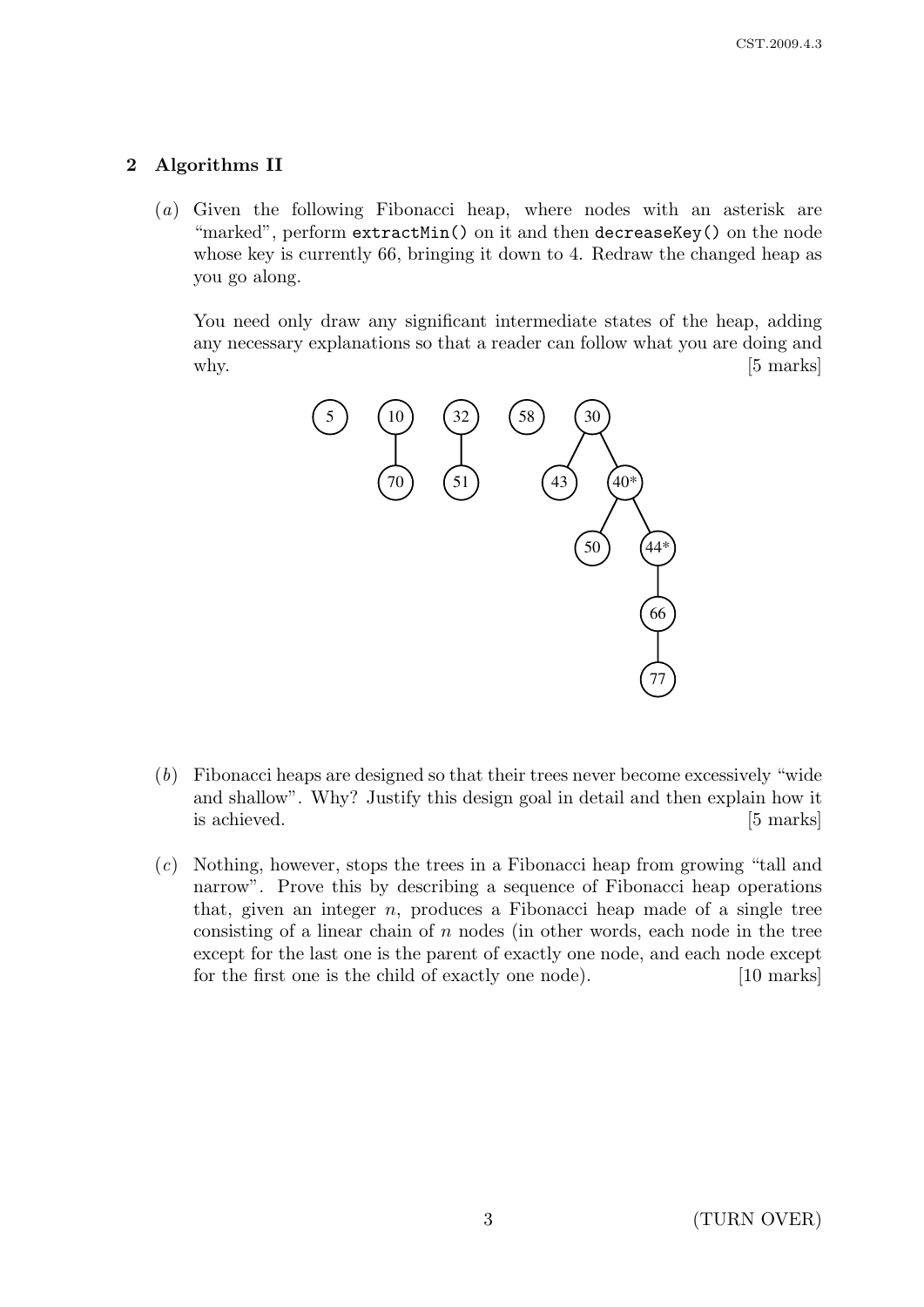## 2 Algorithms II

(a) Given the following Fibonacci heap, where nodes with an asterisk are "marked", perform extractMin() on it and then decreaseKey() on the node whose key is currently 66, bringing it down to 4. Redraw the changed heap as you go along.

You need only draw any significant intermediate states of the heap, adding any necessary explanations so that a reader can follow what you are doing and why.  $[5 \text{ marks}]$ 



- (b) Fibonacci heaps are designed so that their trees never become excessively "wide and shallow". Why? Justify this design goal in detail and then explain how it is achieved. [5 marks]
- (c) Nothing, however, stops the trees in a Fibonacci heap from growing "tall and narrow". Prove this by describing a sequence of Fibonacci heap operations that, given an integer n, produces a Fibonacci heap made of a single tree consisting of a linear chain of n nodes (in other words, each node in the tree except for the last one is the parent of exactly one node, and each node except for the first one is the child of exactly one node). [10 marks]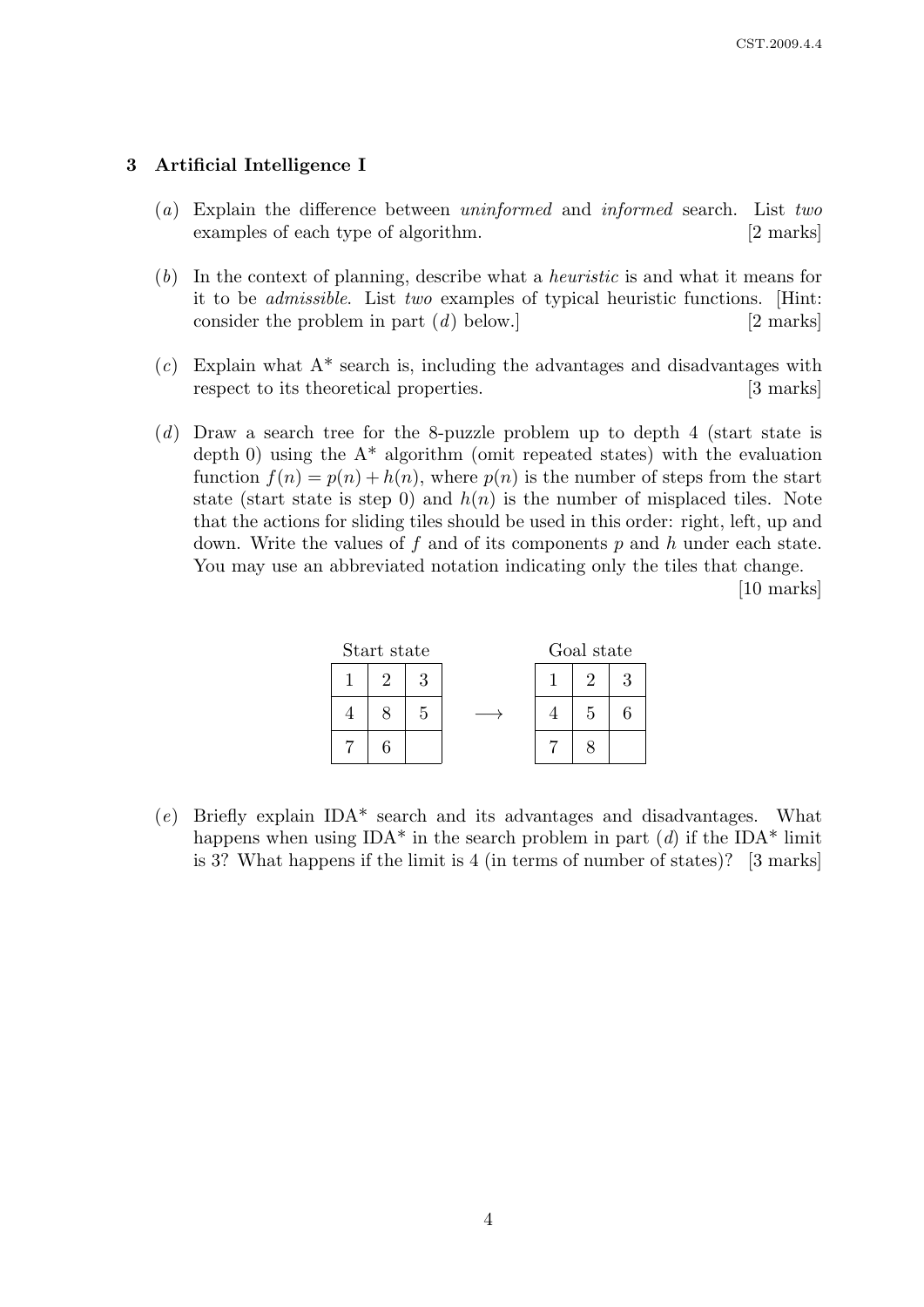### 3 Artificial Intelligence I

- (a) Explain the difference between uninformed and informed search. List two examples of each type of algorithm. [2 marks]
- (b) In the context of planning, describe what a heuristic is and what it means for it to be admissible. List two examples of typical heuristic functions. [Hint: consider the problem in part (d) below.] [2 marks]
- $(c)$  Explain what  $A^*$  search is, including the advantages and disadvantages with respect to its theoretical properties. [3 marks]
- (d) Draw a search tree for the 8-puzzle problem up to depth 4 (start state is depth 0) using the  $A^*$  algorithm (omit repeated states) with the evaluation function  $f(n) = p(n) + h(n)$ , where  $p(n)$  is the number of steps from the start state (start state is step 0) and  $h(n)$  is the number of misplaced tiles. Note that the actions for sliding tiles should be used in this order: right, left, up and down. Write the values of f and of its components  $p$  and  $h$  under each state. You may use an abbreviated notation indicating only the tiles that change.

[10 marks]

| Start state |    |   | Goal state |   |  |
|-------------|----|---|------------|---|--|
|             | ٠, | ว |            | റ |  |
|             |    | 5 |            | 5 |  |
|             | հ  |   |            |   |  |

 $(e)$  Briefly explain IDA\* search and its advantages and disadvantages. What happens when using IDA\* in the search problem in part  $(d)$  if the IDA\* limit is 3? What happens if the limit is 4 (in terms of number of states)? [3 marks]

4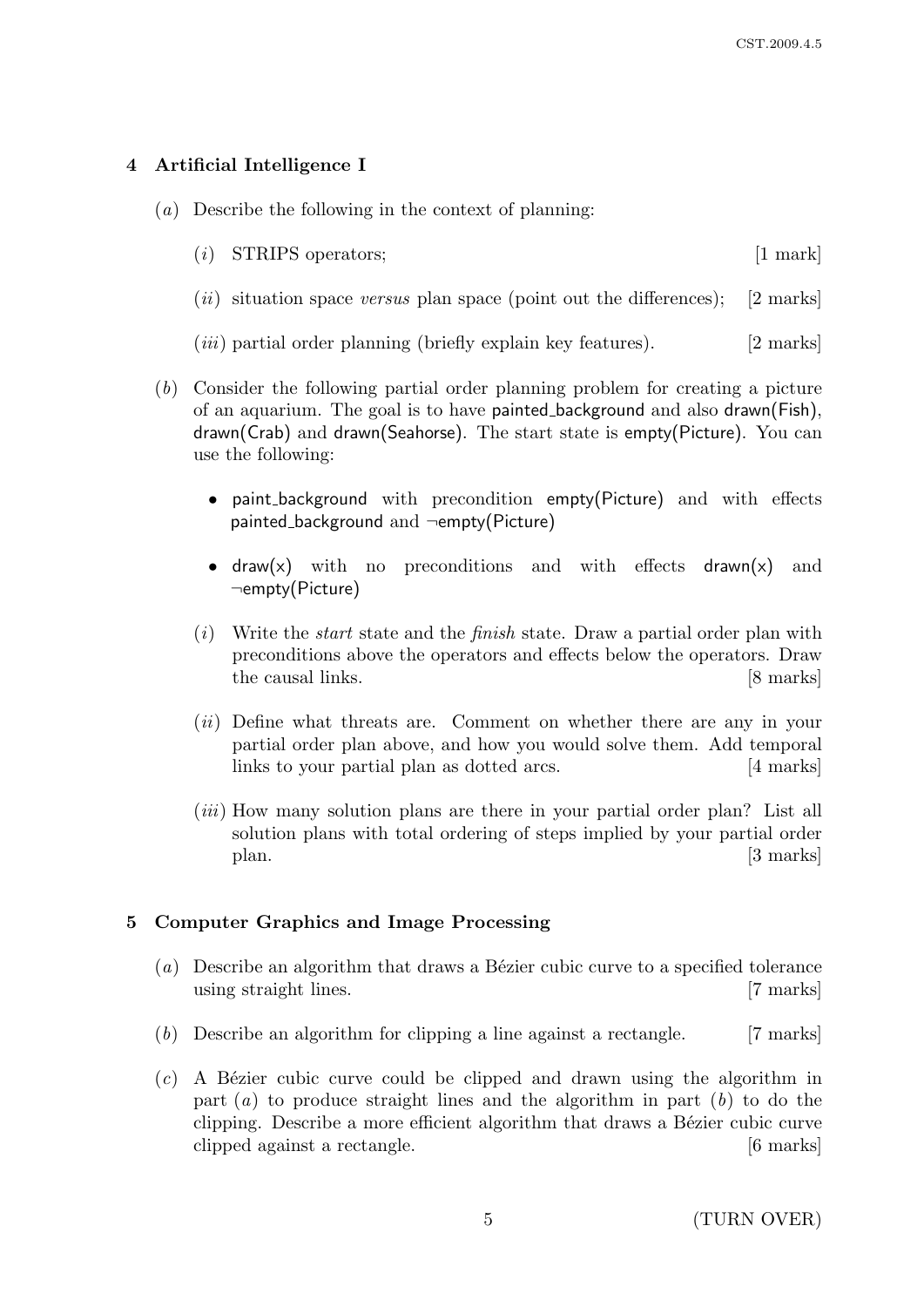### 4 Artificial Intelligence I

- $(a)$  Describe the following in the context of planning:
	- $(i)$  STRIPS operators; [1 mark]
	- (*ii*) situation space versus plan space (point out the differences); [2 marks]
	- $(iii)$  partial order planning (briefly explain key features). [2 marks]
- (b) Consider the following partial order planning problem for creating a picture of an aquarium. The goal is to have painted background and also drawn(Fish), drawn(Crab) and drawn(Seahorse). The start state is empty(Picture). You can use the following:
	- paint background with precondition empty(Picture) and with effects painted background and ¬empty(Picture)
	- draw(x) with no preconditions and with effects drawn(x) and ¬empty(Picture)
	- $(i)$  Write the *start* state and the *finish* state. Draw a partial order plan with preconditions above the operators and effects below the operators. Draw the causal links. [8 marks]
	- (*ii*) Define what threats are. Comment on whether there are any in your partial order plan above, and how you would solve them. Add temporal links to your partial plan as dotted arcs. [4 marks]
	- $(iii)$  How many solution plans are there in your partial order plan? List all solution plans with total ordering of steps implied by your partial order plan. [3 marks]

#### 5 Computer Graphics and Image Processing

- (a) Describe an algorithm that draws a Bézier cubic curve to a specified tolerance using straight lines. [7 marks]
- (b) Describe an algorithm for clipping a line against a rectangle. [7 marks]
- $(c)$  A Bézier cubic curve could be clipped and drawn using the algorithm in part  $(a)$  to produce straight lines and the algorithm in part  $(b)$  to do the clipping. Describe a more efficient algorithm that draws a Bézier cubic curve clipped against a rectangle. [6 marks]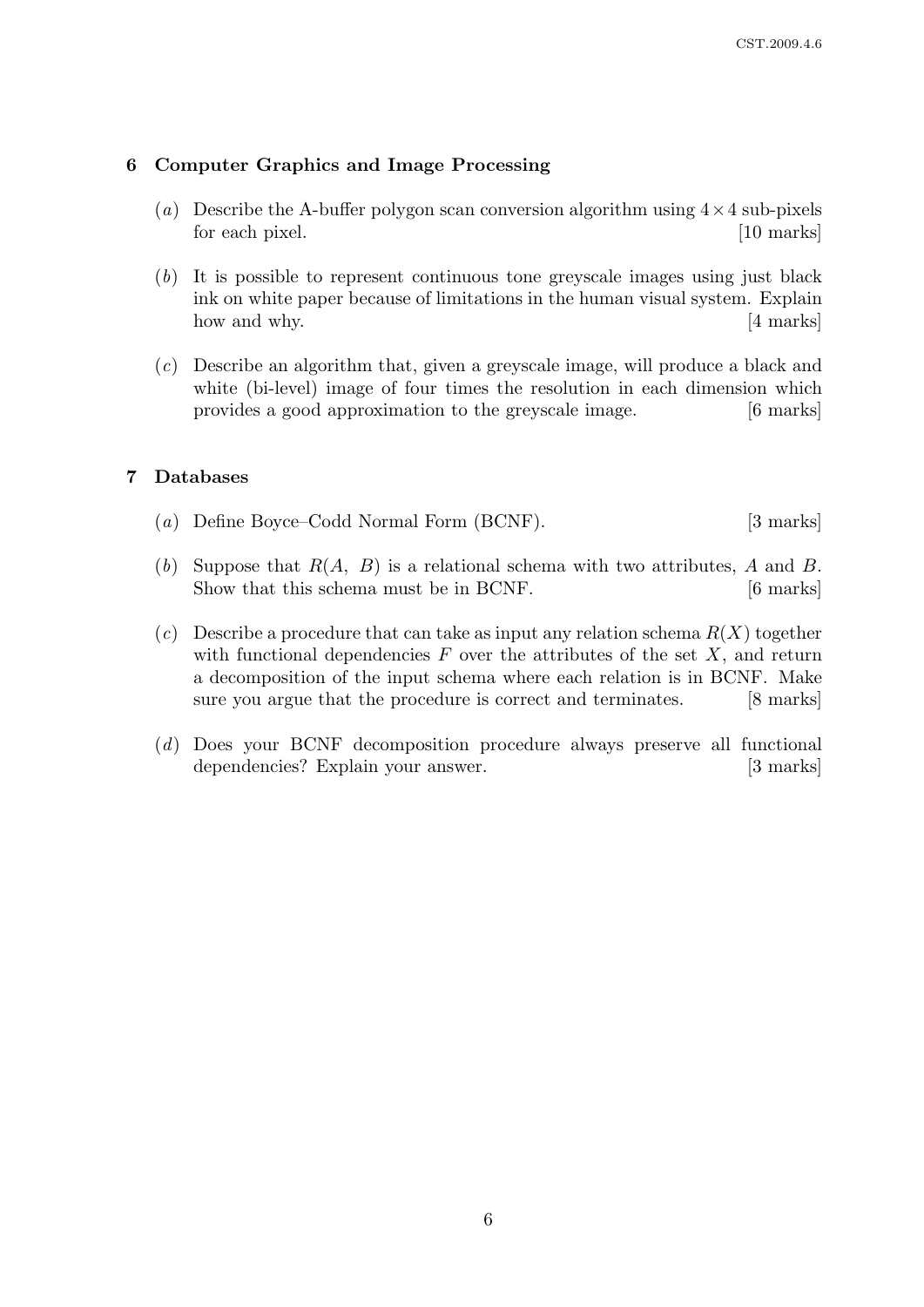### 6 Computer Graphics and Image Processing

- (a) Describe the A-buffer polygon scan conversion algorithm using  $4 \times 4$  sub-pixels for each pixel. [10 marks] [10 marks]
- (b) It is possible to represent continuous tone greyscale images using just black ink on white paper because of limitations in the human visual system. Explain how and why. [4 marks]
- (c) Describe an algorithm that, given a greyscale image, will produce a black and white (bi-level) image of four times the resolution in each dimension which provides a good approximation to the greyscale image. [6 marks]

### 7 Databases

- (a) Define Boyce–Codd Normal Form (BCNF). [3 marks]
- (b) Suppose that  $R(A, B)$  is a relational schema with two attributes, A and B. Show that this schema must be in BCNF. [6 marks]
- (c) Describe a procedure that can take as input any relation schema  $R(X)$  together with functional dependencies  $F$  over the attributes of the set  $X$ , and return a decomposition of the input schema where each relation is in BCNF. Make sure you argue that the procedure is correct and terminates. [8 marks]
- (d) Does your BCNF decomposition procedure always preserve all functional dependencies? Explain your answer. [3 marks]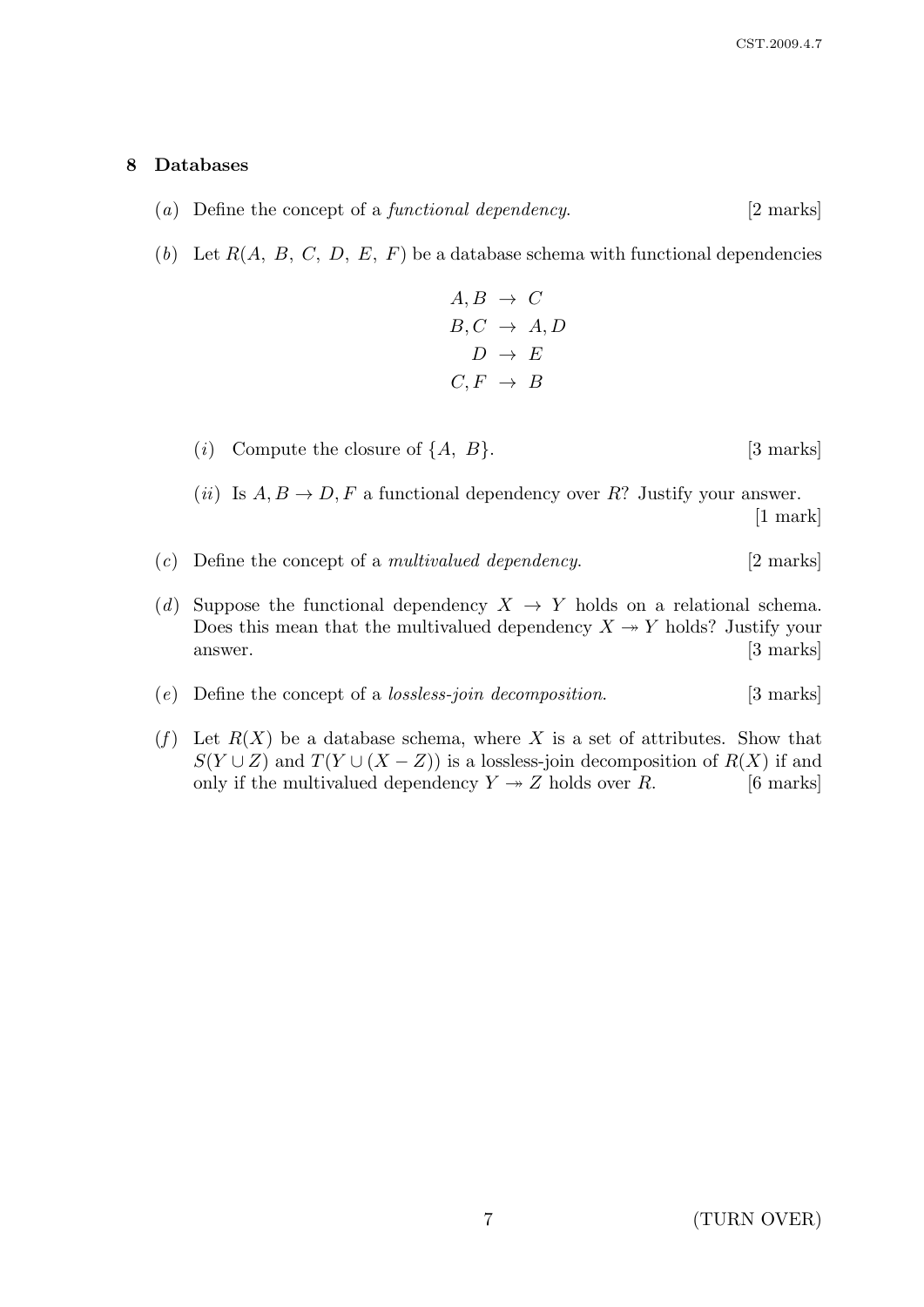### 8 Databases

- (a) Define the concept of a *functional dependency*.  $[2 \text{ marks}]$
- (b) Let  $R(A, B, C, D, E, F)$  be a database schema with functional dependencies

$$
A, B \rightarrow C
$$
  
\n
$$
B, C \rightarrow A, D
$$
  
\n
$$
D \rightarrow E
$$
  
\n
$$
C, F \rightarrow B
$$

(i) Compute the closure of  $\{A, B\}$ . [3 marks]

(*ii*) Is  $A, B \to D, F$  a functional dependency over R? Justify your answer. [1 mark]

- $(c)$  Define the concept of a *multivalued dependency*. [2 marks]
- (d) Suppose the functional dependency  $X \to Y$  holds on a relational schema. Does this mean that the multivalued dependency  $X \rightarrow Y$  holds? Justify your answer. [3 marks]
- (e) Define the concept of a *lossless-join decomposition*. [3 marks]
- (f) Let  $R(X)$  be a database schema, where X is a set of attributes. Show that  $S(Y \cup Z)$  and  $T(Y \cup (X - Z))$  is a lossless-join decomposition of  $R(X)$  if and only if the multivalued dependency  $Y \rightarrow Z$  holds over R. [6 marks]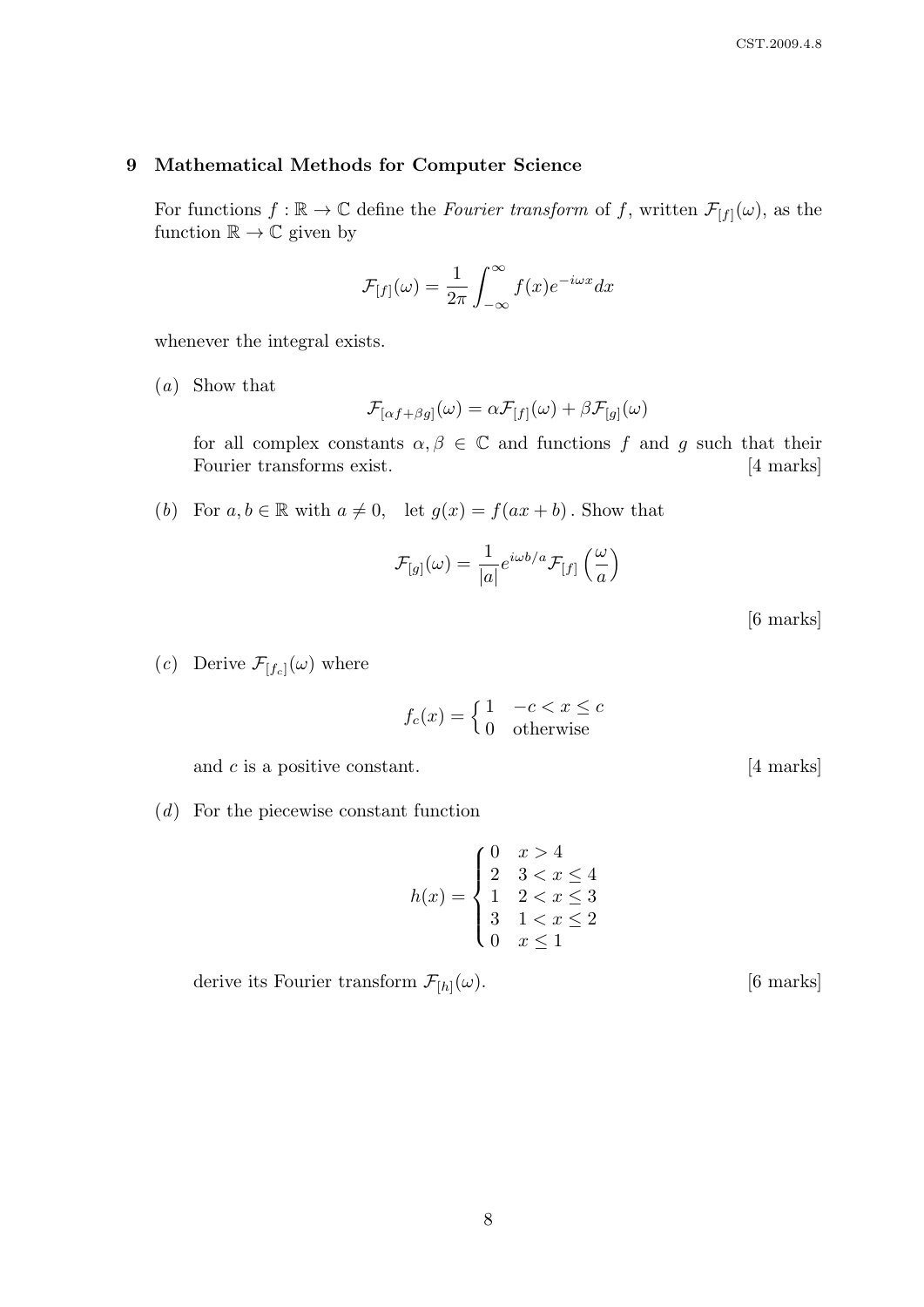## 9 Mathematical Methods for Computer Science

For functions  $f : \mathbb{R} \to \mathbb{C}$  define the *Fourier transform* of f, written  $\mathcal{F}_{[f]}(\omega)$ , as the function  $\mathbb{R} \to \mathbb{C}$  given by

$$
\mathcal{F}_{[f]}(\omega) = \frac{1}{2\pi} \int_{-\infty}^{\infty} f(x)e^{-i\omega x} dx
$$

whenever the integral exists.

(a) Show that

$$
\mathcal{F}_{[\alpha f+\beta g]}(\omega) = \alpha \mathcal{F}_{[f]}(\omega) + \beta \mathcal{F}_{[g]}(\omega)
$$

for all complex constants  $\alpha, \beta \in \mathbb{C}$  and functions f and g such that their Fourier transforms exist. [4 marks]

(b) For  $a, b \in \mathbb{R}$  with  $a \neq 0$ , let  $g(x) = f(ax + b)$ . Show that

$$
\mathcal{F}_{[g]}(\omega) = \frac{1}{|a|} e^{i\omega b/a} \mathcal{F}_{[f]}\left(\frac{\omega}{a}\right)
$$

[6 marks]

(c) Derive  $\mathcal{F}_{[f_c]}(\omega)$  where

$$
f_c(x) = \begin{cases} 1 & -c < x \le c \\ 0 & \text{otherwise} \end{cases}
$$

and  $c$  is a positive constant.  $[4 \text{ marks}]$ 

(d) For the piecewise constant function

$$
h(x) = \begin{cases} 0 & x > 4 \\ 2 & 3 < x \le 4 \\ 1 & 2 < x \le 3 \\ 3 & 1 < x \le 2 \\ 0 & x \le 1 \end{cases}
$$

derive its Fourier transform  $\mathcal{F}_{[h]}(\omega)$ .

 $[6$  marks $]$